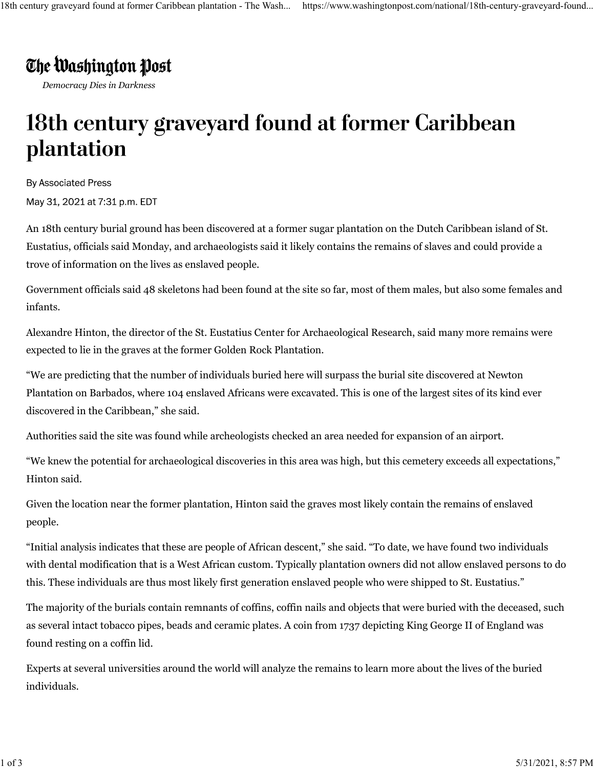## The Washington Post

*Democracy Dies in Darkness*

## 18th century graveyard found at former Caribbean plantation

**By Associated Press** 

May 31, 2021 at 7:31 p.m. EDT

An 18th century burial ground has been discovered at a former sugar plantation on the Dutch Caribbean island of St. Eustatius, officials said Monday, and archaeologists said it likely contains the remains of slaves and could provide a trove of information on the lives as enslaved people.

Government officials said 48 skeletons had been found at the site so far, most of them males, but also some females and infants.

Alexandre Hinton, the director of the St. Eustatius Center for Archaeological Research, said many more remains were expected to lie in the graves at the former Golden Rock Plantation.

"We are predicting that the number of individuals buried here will surpass the burial site discovered at Newton Plantation on Barbados, where 104 enslaved Africans were excavated. This is one of the largest sites of its kind ever discovered in the Caribbean," she said.

Authorities said the site was found while archeologists checked an area needed for expansion of an airport.

"We knew the potential for archaeological discoveries in this area was high, but this cemetery exceeds all expectations," Hinton said.

Given the location near the former plantation, Hinton said the graves most likely contain the remains of enslaved people.

"Initial analysis indicates that these are people of African descent," she said. "To date, we have found two individuals with dental modification that is a West African custom. Typically plantation owners did not allow enslaved persons to do this. These individuals are thus most likely first generation enslaved people who were shipped to St. Eustatius."

The majority of the burials contain remnants of coffins, coffin nails and objects that were buried with the deceased, such as several intact tobacco pipes, beads and ceramic plates. A coin from 1737 depicting King George II of England was found resting on a coffin lid.

Experts at several universities around the world will analyze the remains to learn more about the lives of the buried individuals.